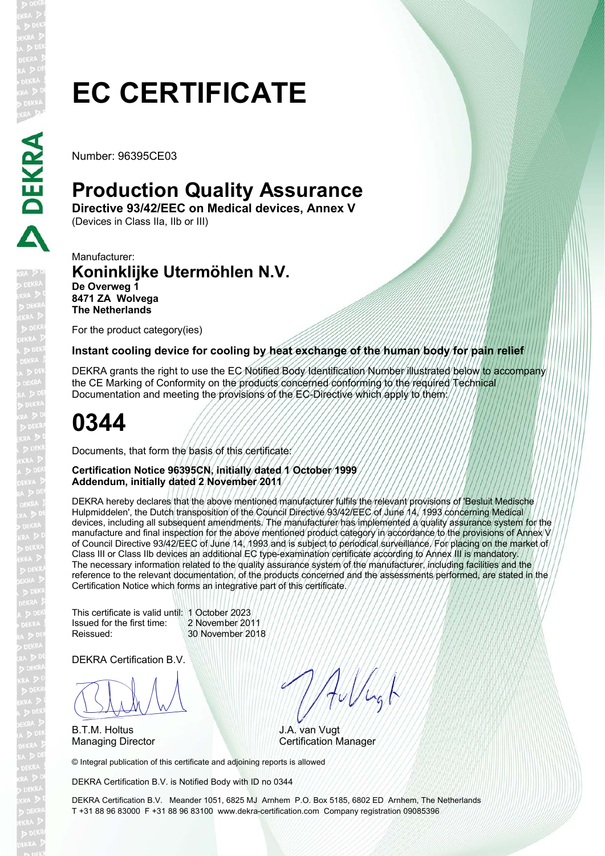# **EC CERTIFICATE**

Number: 96395CE03

### **Production Quality Assurance**

**Directive 93/42/EEC on Medical devices, Annex V**  (Devices in Class IIa, IIb or III)

Manufacturer: **Koninklijke Utermöhlen N.V. De Overweg 1 8471 ZA Wolvega The Netherlands**

For the product category(ies)

**Instant cooling device for cooling by heat exchange of the human body for pain relief**

DEKRA grants the right to use the EC Notified Body Identification Number illustrated below to accompany the CE Marking of Conformity on the products concerned conforming to the required Technical Documentation and meeting the provisions of the EC-Directive which apply to them:

## **0344**

Documents, that form the basis of this certificate:

#### **Certification Notice 96395CN, initially dated 1 October 1999 Addendum, initially dated 2 November 2011**

DEKRA hereby declares that the above mentioned manufacturer fulfils the relevant provisions of 'Besluit Medische Hulpmiddelen', the Dutch transposition of the Council Directive 93/42/EEC of June 14, 1993 concerning Medical devices, including all subsequent amendments. The manufacturer has implemented a quality assurance system for the manufacture and final inspection for the above mentioned product category in accordance to the provisions of Annex V of Council Directive 93/42/EEC of June 14, 1993 and is subject to periodical surveillance. For placing on the market of Class III or Class IIb devices an additional EC type-examination certificate according to Annex III is mandatory. The necessary information related to the quality assurance system of the manufacturer, including facilities and the reference to the relevant documentation, of the products concerned and the assessments performed, are stated in the Certification Notice which forms an integrative part of this certificate.

This certificate is valid until: 1 October 2023<br>Issued for the first time: 2 November 2011 Issued for the first time: Reissued: 30 November 2018

DEKRA Certification B.V.

BLAN

B.T.M. Holtus

Aul/Lat

J.A. van Vugt Managing Director **Certification Manager** 

© Integral publication of this certificate and adjoining reports is allowed

DEKRA Certification B.V. is Notified Body with ID no 0344

DEKRA Certification B.V. Meander 1051, 6825 MJ Arnhem P.O. Box 5185, 6802 ED Arnhem, The Netherlands T +31 88 96 83000 F +31 88 96 83100 www.dekra-certification.com Company registration 09085396